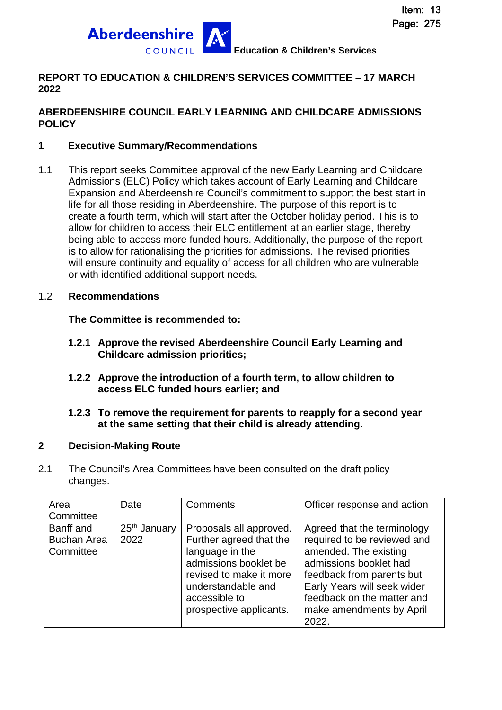

#### **REPORT TO EDUCATION & CHILDREN'S SERVICES COMMITTEE – 17 MARCH 2022**

#### **ABERDEENSHIRE COUNCIL EARLY LEARNING AND CHILDCARE ADMISSIONS POLICY**

#### **1 Executive Summary/Recommendations**

1.1 This report seeks Committee approval of the new Early Learning and Childcare Admissions (ELC) Policy which takes account of Early Learning and Childcare Expansion and Aberdeenshire Council's commitment to support the best start in life for all those residing in Aberdeenshire. The purpose of this report is to create a fourth term, which will start after the October holiday period. This is to allow for children to access their ELC entitlement at an earlier stage, thereby being able to access more funded hours. Additionally, the purpose of the report is to allow for rationalising the priorities for admissions. The revised priorities will ensure continuity and equality of access for all children who are vulnerable or with identified additional support needs.

#### 1.2 **Recommendations**

#### **The Committee is recommended to:**

- **1.2.1 Approve the revised Aberdeenshire Council Early Learning and Childcare admission priorities;**
- **1.2.2 Approve the introduction of a fourth term, to allow children to access ELC funded hours earlier; and**

#### **1.2.3 To remove the requirement for parents to reapply for a second year at the same setting that their child is already attending.**

#### **2 Decision-Making Route**

2.1 The Council's Area Committees have been consulted on the draft policy changes.

| Area                                         | Date                             | <b>Comments</b>                                                                                                    | Officer response and action                                                                                                                           |
|----------------------------------------------|----------------------------------|--------------------------------------------------------------------------------------------------------------------|-------------------------------------------------------------------------------------------------------------------------------------------------------|
| Committee                                    |                                  |                                                                                                                    |                                                                                                                                                       |
| Banff and<br><b>Buchan Area</b><br>Committee | 25 <sup>th</sup> January<br>2022 | Proposals all approved.<br>Further agreed that the<br>language in the                                              | Agreed that the terminology<br>required to be reviewed and<br>amended. The existing                                                                   |
|                                              |                                  | admissions booklet be<br>revised to make it more<br>understandable and<br>accessible to<br>prospective applicants. | admissions booklet had<br>feedback from parents but<br>Early Years will seek wider<br>feedback on the matter and<br>make amendments by April<br>2022. |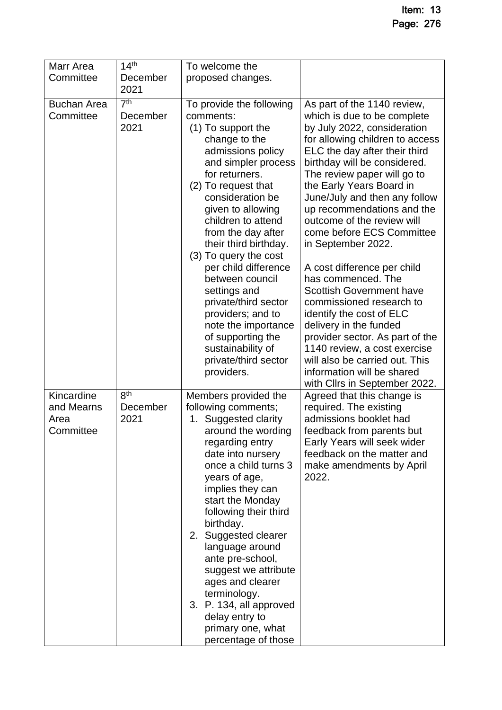| Marr Area                                     | 14 <sup>th</sup>                    | To welcome the                                                                                                                                                                                                                                                                                                                                                                                                                                                                                                          |                                                                                                                                                                                                                                                                                                                                                                                                                                                                                                                                                                                                                                                                                                                                                        |
|-----------------------------------------------|-------------------------------------|-------------------------------------------------------------------------------------------------------------------------------------------------------------------------------------------------------------------------------------------------------------------------------------------------------------------------------------------------------------------------------------------------------------------------------------------------------------------------------------------------------------------------|--------------------------------------------------------------------------------------------------------------------------------------------------------------------------------------------------------------------------------------------------------------------------------------------------------------------------------------------------------------------------------------------------------------------------------------------------------------------------------------------------------------------------------------------------------------------------------------------------------------------------------------------------------------------------------------------------------------------------------------------------------|
| Committee                                     | December                            | proposed changes.                                                                                                                                                                                                                                                                                                                                                                                                                                                                                                       |                                                                                                                                                                                                                                                                                                                                                                                                                                                                                                                                                                                                                                                                                                                                                        |
|                                               | 2021                                |                                                                                                                                                                                                                                                                                                                                                                                                                                                                                                                         |                                                                                                                                                                                                                                                                                                                                                                                                                                                                                                                                                                                                                                                                                                                                                        |
| <b>Buchan Area</b><br>Committee               | 7 <sup>th</sup><br>December<br>2021 | To provide the following<br>comments:<br>(1) To support the<br>change to the<br>admissions policy<br>and simpler process<br>for returners.<br>(2) To request that<br>consideration be<br>given to allowing<br>children to attend<br>from the day after<br>their third birthday.<br>(3) To query the cost<br>per child difference<br>between council<br>settings and<br>private/third sector<br>providers; and to<br>note the importance<br>of supporting the<br>sustainability of<br>private/third sector<br>providers. | As part of the 1140 review,<br>which is due to be complete<br>by July 2022, consideration<br>for allowing children to access<br>ELC the day after their third<br>birthday will be considered.<br>The review paper will go to<br>the Early Years Board in<br>June/July and then any follow<br>up recommendations and the<br>outcome of the review will<br>come before ECS Committee<br>in September 2022.<br>A cost difference per child<br>has commenced. The<br><b>Scottish Government have</b><br>commissioned research to<br>identify the cost of ELC<br>delivery in the funded<br>provider sector. As part of the<br>1140 review, a cost exercise<br>will also be carried out. This<br>information will be shared<br>with Cllrs in September 2022. |
| Kincardine<br>and Mearns<br>Area<br>Committee | 8 <sup>th</sup><br>December<br>2021 | Members provided the<br>following comments;<br>1. Suggested clarity<br>around the wording<br>regarding entry<br>date into nursery<br>once a child turns 3<br>years of age,<br>implies they can<br>start the Monday<br>following their third<br>birthday.<br>2. Suggested clearer<br>language around<br>ante pre-school,<br>suggest we attribute<br>ages and clearer<br>terminology.<br>3. P. 134, all approved<br>delay entry to<br>primary one, what<br>percentage of those                                            | Agreed that this change is<br>required. The existing<br>admissions booklet had<br>feedback from parents but<br>Early Years will seek wider<br>feedback on the matter and<br>make amendments by April<br>2022.                                                                                                                                                                                                                                                                                                                                                                                                                                                                                                                                          |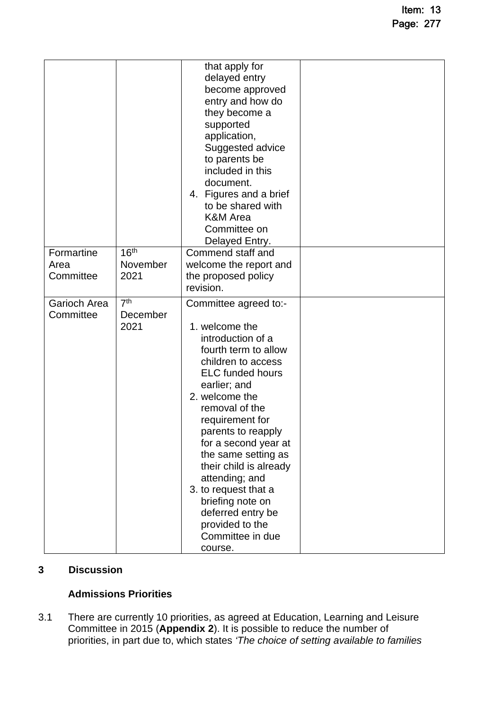| Formartine<br>Area<br>Committee | 16 <sup>th</sup><br>November<br>2021    | that apply for<br>delayed entry<br>become approved<br>entry and how do<br>they become a<br>supported<br>application,<br>Suggested advice<br>to parents be<br>included in this<br>document.<br>4. Figures and a brief<br>to be shared with<br><b>K&amp;M</b> Area<br>Committee on<br>Delayed Entry.<br>Commend staff and<br>welcome the report and<br>the proposed policy                                                                         |  |
|---------------------------------|-----------------------------------------|--------------------------------------------------------------------------------------------------------------------------------------------------------------------------------------------------------------------------------------------------------------------------------------------------------------------------------------------------------------------------------------------------------------------------------------------------|--|
|                                 |                                         | revision.                                                                                                                                                                                                                                                                                                                                                                                                                                        |  |
| Garioch Area<br>Committee       | $\overline{7^{th}}$<br>December<br>2021 | Committee agreed to:-<br>1. welcome the<br>introduction of a<br>fourth term to allow<br>children to access<br><b>ELC</b> funded hours<br>earlier; and<br>2. welcome the<br>removal of the<br>requirement for<br>parents to reapply<br>for a second year at<br>the same setting as<br>their child is already<br>attending; and<br>3. to request that a<br>briefing note on<br>deferred entry be<br>provided to the<br>Committee in due<br>course. |  |

#### **3 Discussion**

#### **Admissions Priorities**

3.1 There are currently 10 priorities, as agreed at Education, Learning and Leisure Committee in 2015 (**Appendix 2**). It is possible to reduce the number of priorities, in part due to, which states *'The choice of setting available to families*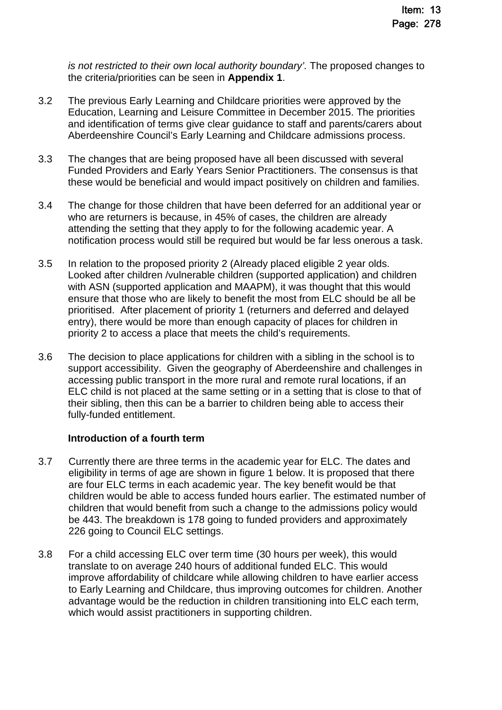*is not restricted to their own local authority boundary'.* The proposed changes to the criteria/priorities can be seen in **Appendix 1**.

- 3.2 The previous Early Learning and Childcare priorities were approved by the Education, Learning and Leisure Committee in December 2015. The priorities and identification of terms give clear guidance to staff and parents/carers about Aberdeenshire Council's Early Learning and Childcare admissions process.
- 3.3 The changes that are being proposed have all been discussed with several Funded Providers and Early Years Senior Practitioners. The consensus is that these would be beneficial and would impact positively on children and families.
- 3.4 The change for those children that have been deferred for an additional year or who are returners is because, in 45% of cases, the children are already attending the setting that they apply to for the following academic year. A notification process would still be required but would be far less onerous a task.
- 3.5 In relation to the proposed priority 2 (Already placed eligible 2 year olds. Looked after children /vulnerable children (supported application) and children with ASN (supported application and MAAPM), it was thought that this would ensure that those who are likely to benefit the most from ELC should be all be prioritised. After placement of priority 1 (returners and deferred and delayed entry), there would be more than enough capacity of places for children in priority 2 to access a place that meets the child's requirements.
- 3.6 The decision to place applications for children with a sibling in the school is to support accessibility. Given the geography of Aberdeenshire and challenges in accessing public transport in the more rural and remote rural locations, if an ELC child is not placed at the same setting or in a setting that is close to that of their sibling, then this can be a barrier to children being able to access their fully-funded entitlement.

#### **Introduction of a fourth term**

- 3.7 Currently there are three terms in the academic year for ELC. The dates and eligibility in terms of age are shown in figure 1 below. It is proposed that there are four ELC terms in each academic year. The key benefit would be that children would be able to access funded hours earlier. The estimated number of children that would benefit from such a change to the admissions policy would be 443. The breakdown is 178 going to funded providers and approximately 226 going to Council ELC settings.
- 3.8 For a child accessing ELC over term time (30 hours per week), this would translate to on average 240 hours of additional funded ELC. This would improve affordability of childcare while allowing children to have earlier access to Early Learning and Childcare, thus improving outcomes for children. Another advantage would be the reduction in children transitioning into ELC each term, which would assist practitioners in supporting children.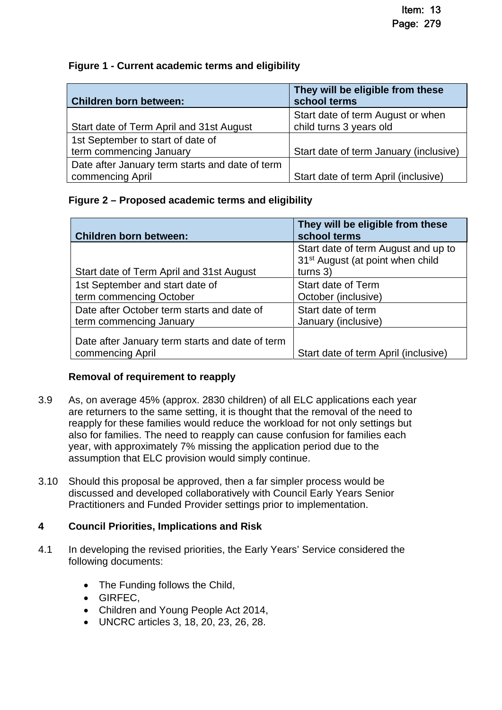#### **Figure 1 - Current academic terms and eligibility**

| <b>Children born between:</b>                   | They will be eligible from these<br>school terms             |  |  |
|-------------------------------------------------|--------------------------------------------------------------|--|--|
| Start date of Term April and 31st August        | Start date of term August or when<br>child turns 3 years old |  |  |
| 1st September to start of date of               |                                                              |  |  |
| term commencing January                         | Start date of term January (inclusive)                       |  |  |
| Date after January term starts and date of term |                                                              |  |  |
| commencing April                                | Start date of term April (inclusive)                         |  |  |

#### **Figure 2 – Proposed academic terms and eligibility**

| <b>Children born between:</b>                                         | They will be eligible from these<br>school terms                                                  |
|-----------------------------------------------------------------------|---------------------------------------------------------------------------------------------------|
| Start date of Term April and 31st August                              | Start date of term August and up to<br>31 <sup>st</sup> August (at point when child<br>turns $3)$ |
| 1st September and start date of<br>term commencing October            | Start date of Term<br>October (inclusive)                                                         |
| Date after October term starts and date of<br>term commencing January | Start date of term<br>January (inclusive)                                                         |
| Date after January term starts and date of term<br>commencing April   | Start date of term April (inclusive)                                                              |

#### **Removal of requirement to reapply**

- 3.9 As, on average 45% (approx. 2830 children) of all ELC applications each year are returners to the same setting, it is thought that the removal of the need to reapply for these families would reduce the workload for not only settings but also for families. The need to reapply can cause confusion for families each year, with approximately 7% missing the application period due to the assumption that ELC provision would simply continue.
- 3.10 Should this proposal be approved, then a far simpler process would be discussed and developed collaboratively with Council Early Years Senior Practitioners and Funded Provider settings prior to implementation.

#### **4 Council Priorities, Implications and Risk**

- 4.1 In developing the revised priorities, the Early Years' Service considered the following documents:
	- The Funding follows the Child,
	- GIRFEC,
	- Children and Young People Act 2014,
	- UNCRC articles 3, 18, 20, 23, 26, 28.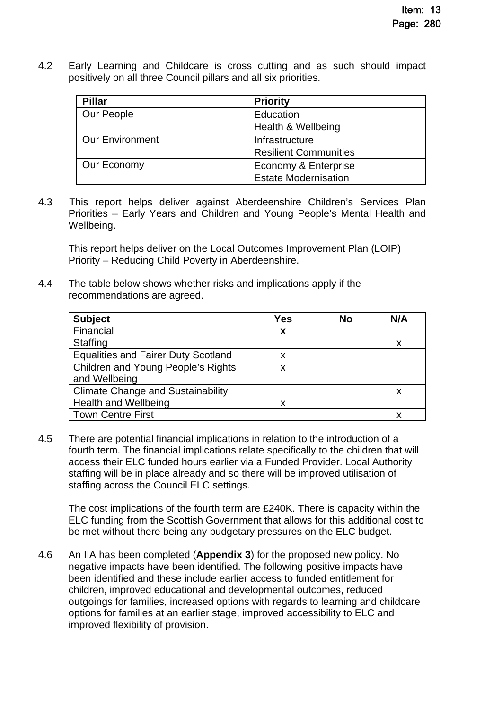4.2 Early Learning and Childcare is cross cutting and as such should impact positively on all three Council pillars and all six priorities.

| <b>Pillar</b>          | <b>Priority</b>              |  |
|------------------------|------------------------------|--|
| Our People             | Education                    |  |
|                        | Health & Wellbeing           |  |
| <b>Our Environment</b> | Infrastructure               |  |
|                        | <b>Resilient Communities</b> |  |
| Our Economy            | Economy & Enterprise         |  |
|                        | <b>Estate Modernisation</b>  |  |

4.3 This report helps deliver against Aberdeenshire Children's Services Plan Priorities – Early Years and Children and Young People's Mental Health and Wellbeing.

This report helps deliver on the Local Outcomes Improvement Plan (LOIP) Priority – Reducing Child Poverty in Aberdeenshire.

4.4 The table below shows whether risks and implications apply if the recommendations are agreed.

| <b>Subject</b>                             | Yes | <b>No</b> | N/A |
|--------------------------------------------|-----|-----------|-----|
| Financial                                  | X   |           |     |
| <b>Staffing</b>                            |     |           |     |
| <b>Equalities and Fairer Duty Scotland</b> | х   |           |     |
| Children and Young People's Rights         | x   |           |     |
| and Wellbeing                              |     |           |     |
| <b>Climate Change and Sustainability</b>   |     |           |     |
| <b>Health and Wellbeing</b>                | х   |           |     |
| <b>Town Centre First</b>                   |     |           |     |

4.5 There are potential financial implications in relation to the introduction of a fourth term. The financial implications relate specifically to the children that will access their ELC funded hours earlier via a Funded Provider. Local Authority staffing will be in place already and so there will be improved utilisation of staffing across the Council ELC settings.

The cost implications of the fourth term are £240K. There is capacity within the ELC funding from the Scottish Government that allows for this additional cost to be met without there being any budgetary pressures on the ELC budget.

4.6 An IIA has been completed (**Appendix 3**) for the proposed new policy. No negative impacts have been identified. The following positive impacts have been identified and these include earlier access to funded entitlement for children, improved educational and developmental outcomes, reduced outgoings for families, increased options with regards to learning and childcare options for families at an earlier stage, improved accessibility to ELC and improved flexibility of provision.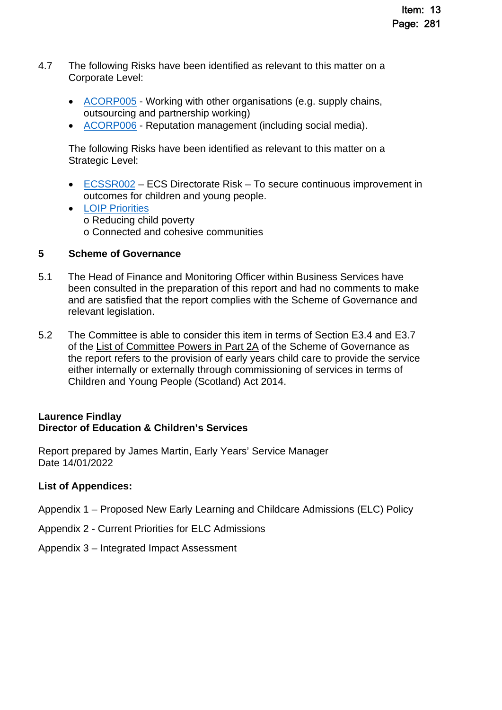- 4.7 The following Risks have been identified as relevant to this matter on a Corporate Level:
	- [ACORP005](https://aberdeenshire.sharepoint.com/sites/EvidenceBank/Shared%20Documents/General/3.%20Performance/Links%20from%20Narrative/3.5%20External%20Scruitiny%20and%20Risk/34.%20Aberdeenshire%20Corporate%20Risk%20Register.pdf#search=ACORP005%20Working%20with%20other%20organisation) Working with other organisations (e.g. supply chains, outsourcing and partnership working)
	- [ACORP006](https://aberdeenshire.sharepoint.com/sites/EvidenceBank/Shared%20Documents/General/3.%20Performance/Links%20from%20Narrative/3.5%20External%20Scruitiny%20and%20Risk/34.%20Aberdeenshire%20Corporate%20Risk%20Register.pdf#search=ACORP005%20Working%20with%20other%20organisation) Reputation management (including social media).

The following Risks have been identified as relevant to this matter on a Strategic Level:

- [ECSSR002](https://aberdeenshire.gov.uk/media/26330/ecsdirectoraterisksregister.pdf)  ECS Directorate Risk To secure continuous improvement in outcomes for children and young people.
- [LOIP Priorities](https://www.ouraberdeenshire.org.uk/our-priorities/local-outcomes-improvement-plan/) o Reducing child poverty o Connected and cohesive communities

#### **5 Scheme of Governance**

- 5.1 The Head of Finance and Monitoring Officer within Business Services have been consulted in the preparation of this report and had no comments to make and are satisfied that the report complies with the Scheme of Governance and relevant legislation.
- 5.2 The Committee is able to consider this item in terms of Section E3.4 and E3.7 of the [List of Committee Powers in Part 2A](http://publications.aberdeenshire.gov.uk/dataset/c8044f6f-e327-499f-bbc7-94ae9d699559/resource/8d829bb9-95e7-4c83-bc0b-63b76bcba159/download/list-of-committee-powers.pdf) of the Scheme of Governance as the report refers to the provision of early years child care to provide the service either internally or externally through commissioning of services in terms of Children and Young People (Scotland) Act 2014.

#### **Laurence Findlay Director of Education & Children's Services**

Report prepared by James Martin, Early Years' Service Manager Date 14/01/2022

#### **List of Appendices:**

Appendix 1 – Proposed New Early Learning and Childcare Admissions (ELC) Policy

- Appendix 2 Current Priorities for ELC Admissions
- Appendix 3 Integrated Impact Assessment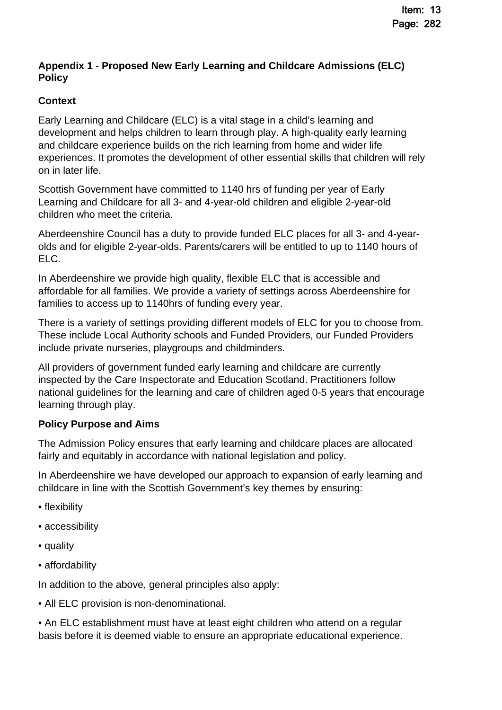#### **Appendix 1 - Proposed New Early Learning and Childcare Admissions (ELC) Policy**

#### **Context**

Early Learning and Childcare (ELC) is a vital stage in a child's learning and development and helps children to learn through play. A high-quality early learning and childcare experience builds on the rich learning from home and wider life experiences. It promotes the development of other essential skills that children will rely on in later life.

Scottish Government have committed to 1140 hrs of funding per year of Early Learning and Childcare for all 3- and 4-year-old children and eligible 2-year-old children who meet the criteria.

Aberdeenshire Council has a duty to provide funded ELC places for all 3- and 4-yearolds and for eligible 2-year-olds. Parents/carers will be entitled to up to 1140 hours of ELC.

In Aberdeenshire we provide high quality, flexible ELC that is accessible and affordable for all families. We provide a variety of settings across Aberdeenshire for families to access up to 1140hrs of funding every year.

There is a variety of settings providing different models of ELC for you to choose from. These include Local Authority schools and Funded Providers, our Funded Providers include private nurseries, playgroups and childminders.

All providers of government funded early learning and childcare are currently inspected by the Care Inspectorate and Education Scotland. Practitioners follow national guidelines for the learning and care of children aged 0-5 years that encourage learning through play.

#### **Policy Purpose and Aims**

The Admission Policy ensures that early learning and childcare places are allocated fairly and equitably in accordance with national legislation and policy.

In Aberdeenshire we have developed our approach to expansion of early learning and childcare in line with the Scottish Government's key themes by ensuring:

- flexibility
- accessibility
- quality
- affordability

In addition to the above, general principles also apply:

• All ELC provision is non-denominational.

• An ELC establishment must have at least eight children who attend on a regular basis before it is deemed viable to ensure an appropriate educational experience.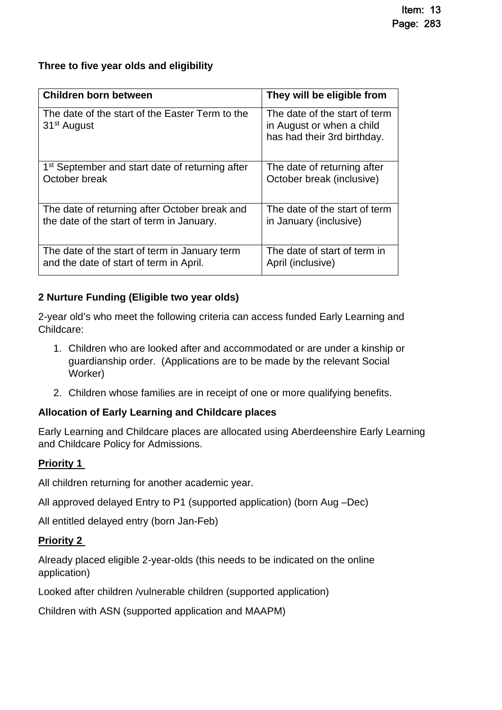#### **Three to five year olds and eligibility**

| <b>Children born between</b>                                               | They will be eligible from                                                                |
|----------------------------------------------------------------------------|-------------------------------------------------------------------------------------------|
| The date of the start of the Easter Term to the<br>31 <sup>st</sup> August | The date of the start of term<br>in August or when a child<br>has had their 3rd birthday. |
| 1 <sup>st</sup> September and start date of returning after                | The date of returning after                                                               |
| October break                                                              | October break (inclusive)                                                                 |
| The date of returning after October break and                              | The date of the start of term                                                             |
| the date of the start of term in January.                                  | in January (inclusive)                                                                    |
| The date of the start of term in January term                              | The date of start of term in                                                              |
| and the date of start of term in April.                                    | April (inclusive)                                                                         |

#### **2 Nurture Funding (Eligible two year olds)**

2-year old's who meet the following criteria can access funded Early Learning and Childcare:

- 1. Children who are looked after and accommodated or are under a kinship or guardianship order. (Applications are to be made by the relevant Social Worker)
- 2. Children whose families are in receipt of one or more qualifying benefits.

#### **Allocation of Early Learning and Childcare places**

Early Learning and Childcare places are allocated using Aberdeenshire Early Learning and Childcare Policy for Admissions.

#### **Priority 1**

All children returning for another academic year.

All approved delayed Entry to P1 (supported application) (born Aug –Dec)

All entitled delayed entry (born Jan-Feb)

#### **Priority 2**

Already placed eligible 2-year-olds (this needs to be indicated on the online application)

Looked after children /vulnerable children (supported application)

Children with ASN (supported application and MAAPM)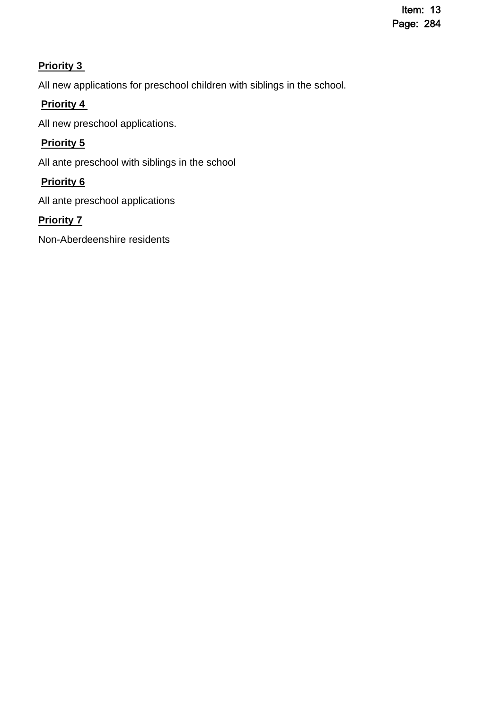#### **Priority 3**

All new applications for preschool children with siblings in the school.

#### **Priority 4**

All new preschool applications.

### **Priority 5**

All ante preschool with siblings in the school

#### **Priority 6**

All ante preschool applications

#### **Priority 7**

Non-Aberdeenshire residents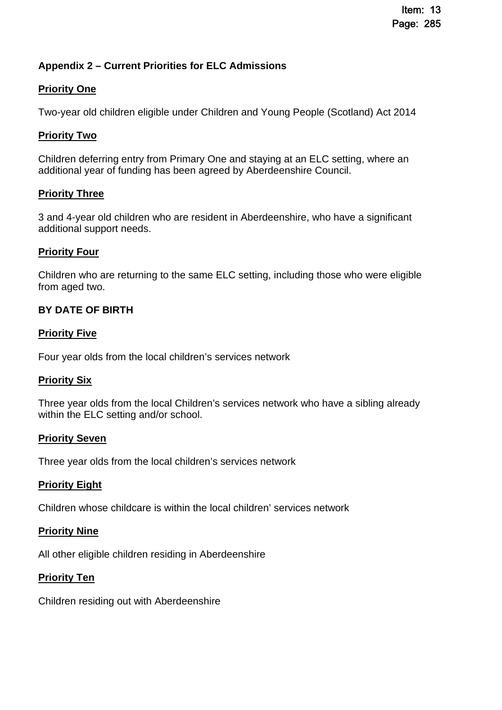#### **Appendix 2 – Current Priorities for ELC Admissions**

#### **Priority One**

Two-year old children eligible under Children and Young People (Scotland) Act 2014

#### **Priority Two**

Children deferring entry from Primary One and staying at an ELC setting, where an additional year of funding has been agreed by Aberdeenshire Council.

#### **Priority Three**

3 and 4-year old children who are resident in Aberdeenshire, who have a significant additional support needs.

#### **Priority Four**

Children who are returning to the same ELC setting, including those who were eligible from aged two.

#### **BY DATE OF BIRTH**

#### **Priority Five**

Four year olds from the local children's services network

#### **Priority Six**

Three year olds from the local Children's services network who have a sibling already within the ELC setting and/or school.

#### **Priority Seven**

Three year olds from the local children's services network

#### **Priority Eight**

Children whose childcare is within the local children' services network

#### **Priority Nine**

All other eligible children residing in Aberdeenshire

#### **Priority Ten**

Children residing out with Aberdeenshire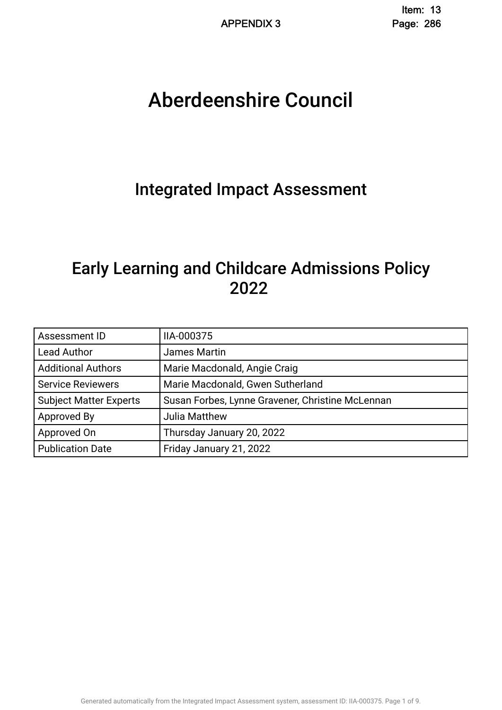# Aberdeenshire Council .

# Integrated Impact Assessment.

# Early Learning and Childcare Admissions Policy 2022 .

| Assessment ID                 | IIA-000375                                       |
|-------------------------------|--------------------------------------------------|
| <b>Lead Author</b>            | James Martin                                     |
| <b>Additional Authors</b>     | Marie Macdonald, Angie Craig                     |
| <b>Service Reviewers</b>      | Marie Macdonald, Gwen Sutherland                 |
| <b>Subject Matter Experts</b> | Susan Forbes, Lynne Gravener, Christine McLennan |
| Approved By                   | <b>Julia Matthew</b>                             |
| Approved On                   | Thursday January 20, 2022                        |
| <b>Publication Date</b>       | Friday January 21, 2022                          |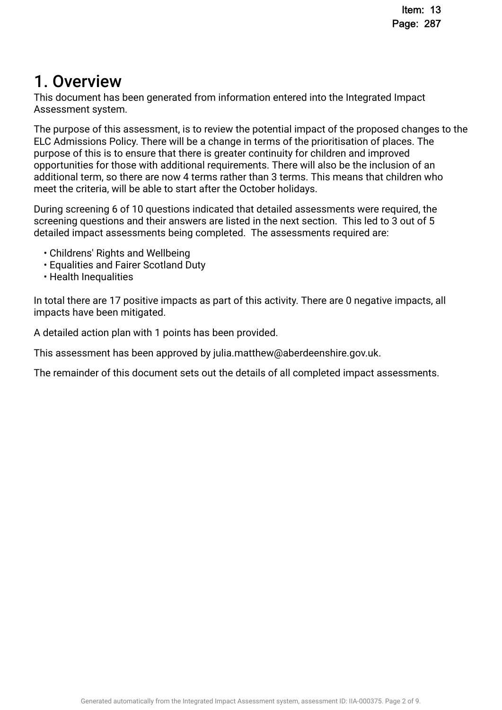# 1. Overview.

This document has been generated from information entered into the Integrated Impact Assessment system.

The purpose of this assessment, is to review the potential impact of the proposed changes to the ELC Admissions Policy. There will be a change in terms of the prioritisation of places. The purpose of this is to ensure that there is greater continuity for children and improved opportunities for those with additional requirements. There will also be the inclusion of an additional term, so there are now 4 terms rather than 3 terms. This means that children who meet the criteria, will be able to start after the October holidays.

During screening 6 of 10 questions indicated that detailed assessments were required, the screening questions and their answers are listed in the next section. This led to 3 out of 5 detailed impact assessments being completed. The assessments required are:

- Childrens' Rights and Wellbeing
- Equalities and Fairer Scotland Duty
- Health Inequalities

In total there are 17 positive impacts as part of this activity. There are 0 negative impacts, all impacts have been mitigated.

A detailed action plan with 1 points has been provided.

This assessment has been approved by julia.matthew@aberdeenshire.gov.uk.

The remainder of this document sets out the details of all completed impact assessments.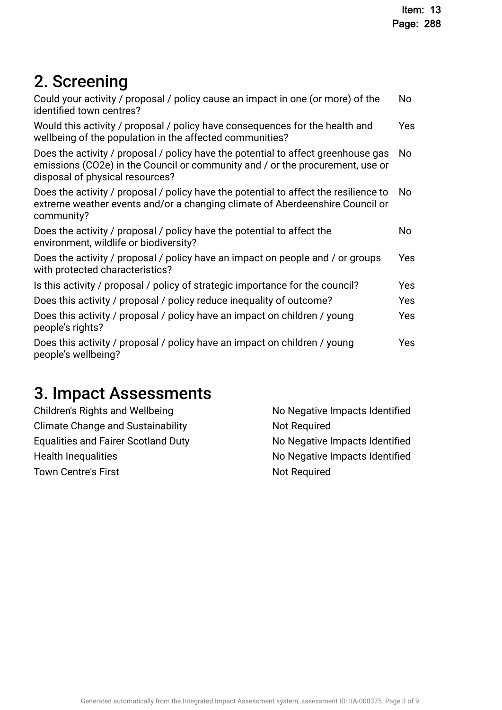# 2. Screening

| Could your activity / proposal / policy cause an impact in one (or more) of the<br>identified town centres?                                                                                           | No. |
|-------------------------------------------------------------------------------------------------------------------------------------------------------------------------------------------------------|-----|
| Would this activity / proposal / policy have consequences for the health and<br>wellbeing of the population in the affected communities?                                                              | Yes |
| Does the activity / proposal / policy have the potential to affect greenhouse gas<br>emissions (CO2e) in the Council or community and / or the procurement, use or<br>disposal of physical resources? | No  |
| Does the activity / proposal / policy have the potential to affect the resilience to<br>extreme weather events and/or a changing climate of Aberdeenshire Council or<br>community?                    | No. |
| Does the activity / proposal / policy have the potential to affect the<br>environment, wildlife or biodiversity?                                                                                      | No  |
| Does the activity / proposal / policy have an impact on people and / or groups<br>with protected characteristics?                                                                                     | Yes |
| Is this activity / proposal / policy of strategic importance for the council?                                                                                                                         | Yes |
| Does this activity / proposal / policy reduce inequality of outcome?                                                                                                                                  | Yes |
| Does this activity / proposal / policy have an impact on children / young<br>people's rights?                                                                                                         | Yes |
| Does this activity / proposal / policy have an impact on children / young<br>people's wellbeing?                                                                                                      | Yes |
|                                                                                                                                                                                                       |     |

# 3. Impact Assessments

| Children's Rights and Wellbeing            | No Negative Impacts Identified |
|--------------------------------------------|--------------------------------|
| <b>Climate Change and Sustainability</b>   | <b>Not Required</b>            |
| <b>Equalities and Fairer Scotland Duty</b> | No Negative Impacts Identified |
| <b>Health Inequalities</b>                 | No Negative Impacts Identified |
| <b>Town Centre's First</b>                 | <b>Not Required</b>            |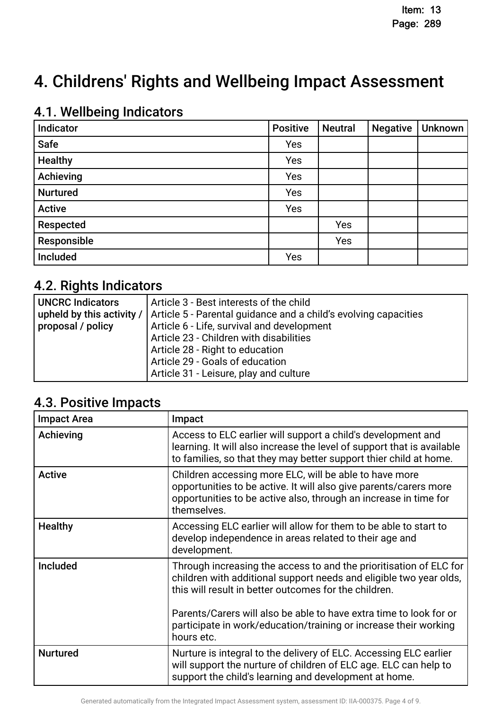# 4. Childrens' Rights and Wellbeing Impact Assessment

# 4.1. Wellbeing Indicators

| Indicator       | <b>Positive</b> | <b>Neutral</b> | <b>Negative</b> | Unknown |
|-----------------|-----------------|----------------|-----------------|---------|
| Safe            | Yes             |                |                 |         |
| <b>Healthy</b>  | Yes             |                |                 |         |
| Achieving       | Yes             |                |                 |         |
| <b>Nurtured</b> | Yes             |                |                 |         |
| <b>Active</b>   | Yes             |                |                 |         |
| Respected       |                 | Yes            |                 |         |
| Responsible     |                 | Yes            |                 |         |
| Included        | Yes             |                |                 |         |

# 4.2. Rights Indicators

| <b>UNCRC Indicators</b> | Article 3 - Best interests of the child                                                     |
|-------------------------|---------------------------------------------------------------------------------------------|
|                         | upheld by this activity /   Article 5 - Parental guidance and a child's evolving capacities |
| proposal / policy       | Article 6 - Life, survival and development                                                  |
|                         | Article 23 - Children with disabilities                                                     |
|                         | Article 28 - Right to education                                                             |
|                         | Article 29 - Goals of education                                                             |
|                         | Article 31 - Leisure, play and culture                                                      |

# 4.3. Positive Impacts

| <b>Impact Area</b> | Impact                                                                                                                                                                                                                                                                                                                                      |
|--------------------|---------------------------------------------------------------------------------------------------------------------------------------------------------------------------------------------------------------------------------------------------------------------------------------------------------------------------------------------|
| Achieving          | Access to ELC earlier will support a child's development and<br>learning. It will also increase the level of support that is available<br>to families, so that they may better support thier child at home.                                                                                                                                 |
| <b>Active</b>      | Children accessing more ELC, will be able to have more<br>opportunities to be active. It will also give parents/carers more<br>opportunities to be active also, through an increase in time for<br>themselves.                                                                                                                              |
| <b>Healthy</b>     | Accessing ELC earlier will allow for them to be able to start to<br>develop independence in areas related to their age and<br>development.                                                                                                                                                                                                  |
| Included           | Through increasing the access to and the prioritisation of ELC for<br>children with additional support needs and eligible two year olds,<br>this will result in better outcomes for the children.<br>Parents/Carers will also be able to have extra time to look for or<br>participate in work/education/training or increase their working |
|                    | hours etc.                                                                                                                                                                                                                                                                                                                                  |
| <b>Nurtured</b>    | Nurture is integral to the delivery of ELC. Accessing ELC earlier<br>will support the nurture of children of ELC age. ELC can help to<br>support the child's learning and development at home.                                                                                                                                              |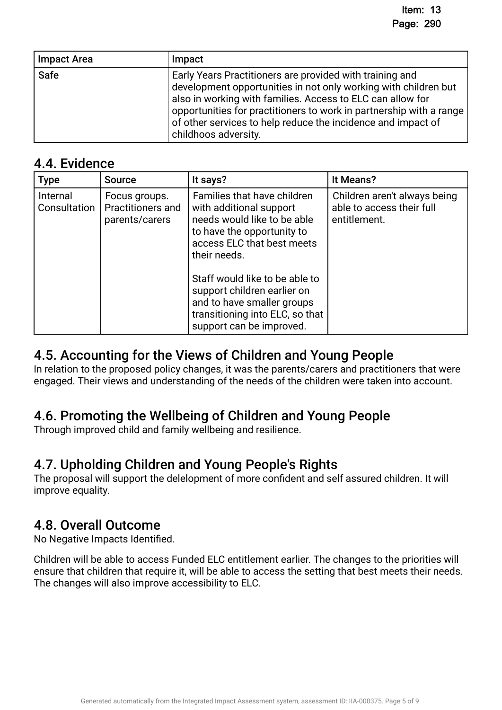| <b>Impact Area</b> | Impact                                                                                                                                                                                                                                                                                                                                                   |
|--------------------|----------------------------------------------------------------------------------------------------------------------------------------------------------------------------------------------------------------------------------------------------------------------------------------------------------------------------------------------------------|
| <b>Safe</b>        | Early Years Practitioners are provided with training and<br>development opportunities in not only working with children but<br>also in working with families. Access to ELC can allow for<br>opportunities for practitioners to work in partnership with a range<br>of other services to help reduce the incidence and impact of<br>childhoos adversity. |

## 4.4. Evidence

| <b>Type</b>              | <b>Source</b>                                        | It says?                                                                                                                                                                                                                                                         | It Means?                                                                 |
|--------------------------|------------------------------------------------------|------------------------------------------------------------------------------------------------------------------------------------------------------------------------------------------------------------------------------------------------------------------|---------------------------------------------------------------------------|
| Internal<br>Consultation | Focus groups.<br>Practitioners and<br>parents/carers | Families that have children<br>with additional support<br>needs would like to be able<br>to have the opportunity to<br>access ELC that best meets<br>their needs.<br>Staff would like to be able to<br>support children earlier on<br>and to have smaller groups | Children aren't always being<br>able to access their full<br>entitlement. |
|                          |                                                      | transitioning into ELC, so that<br>support can be improved.                                                                                                                                                                                                      |                                                                           |

# 4.5. Accounting for the Views of Children and Young People.

In relation to the proposed policy changes, it was the parents/carers and practitioners that were engaged. Their views and understanding of the needs of the children were taken into account.

# 4.6. Promoting the Wellbeing of Children and Young People.

Through improved child and family wellbeing and resilience.

# 4.7. Upholding Children and Young People's Rights.

The proposal will support the delelopment of more confdent and self assured children. It will improve equality.

# 4.8. Overall Outcome.

No Negative Impacts Identifed.

Children will be able to access Funded ELC entitlement earlier. The changes to the priorities will ensure that children that require it, will be able to access the setting that best meets their needs. The changes will also improve accessibility to ELC.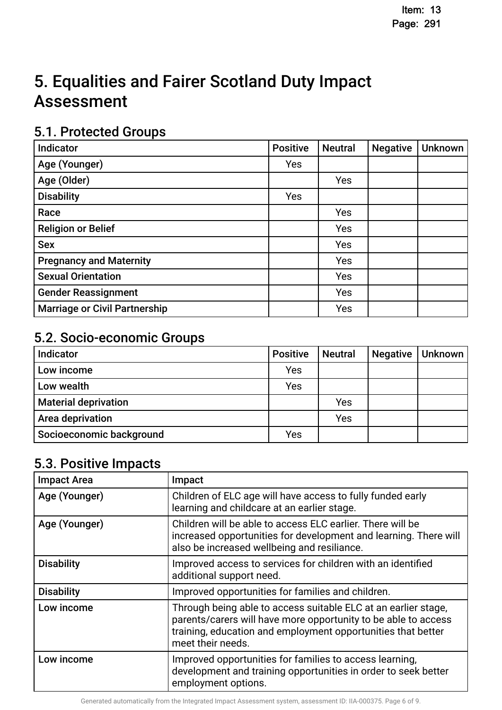# 5. Equalities and Fairer Scotland Duty Impact **Assessment**

# 5.1. Protected Groups

| Indicator                            | <b>Positive</b> | <b>Neutral</b> | <b>Negative</b> | <b>Unknown</b> |
|--------------------------------------|-----------------|----------------|-----------------|----------------|
| Age (Younger)                        | Yes             |                |                 |                |
| Age (Older)                          |                 | Yes            |                 |                |
| <b>Disability</b>                    | Yes             |                |                 |                |
| Race                                 |                 | Yes            |                 |                |
| <b>Religion or Belief</b>            |                 | Yes            |                 |                |
| <b>Sex</b>                           |                 | Yes            |                 |                |
| <b>Pregnancy and Maternity</b>       |                 | Yes            |                 |                |
| <b>Sexual Orientation</b>            |                 | Yes            |                 |                |
| <b>Gender Reassignment</b>           |                 | Yes            |                 |                |
| <b>Marriage or Civil Partnership</b> |                 | Yes            |                 |                |

# 5.2. Socio-economic Groups

| Indicator                   | <b>Positive</b> | <b>Neutral</b> | <b>Negative</b> | Unknown |
|-----------------------------|-----------------|----------------|-----------------|---------|
| Low income                  | Yes             |                |                 |         |
| Low wealth                  | Yes             |                |                 |         |
| <b>Material deprivation</b> |                 | Yes            |                 |         |
| Area deprivation            |                 | Yes            |                 |         |
| Socioeconomic background    | Yes             |                |                 |         |

# 5.3. Positive Impacts

| <b>Impact Area</b> | Impact                                                                                                                                                                                                                |
|--------------------|-----------------------------------------------------------------------------------------------------------------------------------------------------------------------------------------------------------------------|
| Age (Younger)      | Children of ELC age will have access to fully funded early<br>learning and childcare at an earlier stage.                                                                                                             |
| Age (Younger)      | Children will be able to access ELC earlier. There will be<br>increased opportunities for development and learning. There will<br>also be increased wellbeing and resiliance.                                         |
| <b>Disability</b>  | Improved access to services for children with an identified<br>additional support need.                                                                                                                               |
| <b>Disability</b>  | Improved opportunities for families and children.                                                                                                                                                                     |
| Low income         | Through being able to access suitable ELC at an earlier stage,<br>parents/carers will have more opportunity to be able to access<br>training, education and employment opportunities that better<br>meet their needs. |
| Low income         | Improved opportunities for families to access learning,<br>development and training opportunities in order to seek better<br>employment options.                                                                      |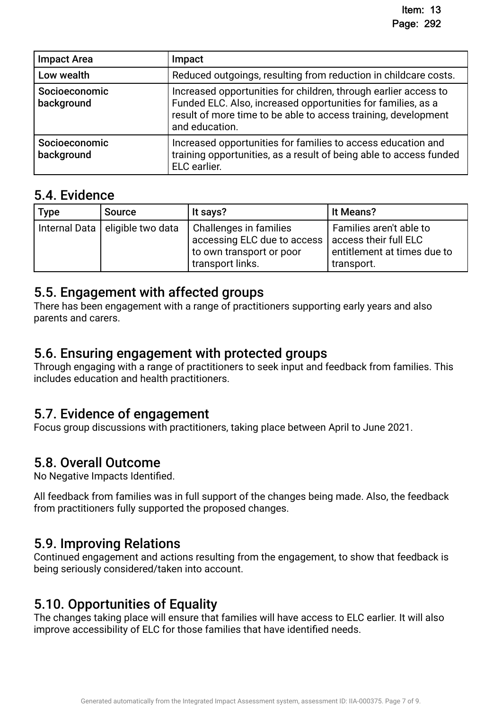| <b>Impact Area</b>          | Impact                                                                                                                                                                                                              |
|-----------------------------|---------------------------------------------------------------------------------------------------------------------------------------------------------------------------------------------------------------------|
| Low wealth                  | Reduced outgoings, resulting from reduction in childcare costs.                                                                                                                                                     |
| Socioeconomic<br>background | Increased opportunities for children, through earlier access to<br>Funded ELC. Also, increased opportunities for families, as a<br>result of more time to be able to access training, development<br>and education. |
| Socioeconomic<br>background | Increased opportunities for families to access education and<br>training opportunities, as a result of being able to access funded<br>ELC earlier.                                                                  |

### 5.4. Evidence

| <b>Type</b> | <b>Source</b>                     | It says?                                                                                                                      | It Means?                                                            |
|-------------|-----------------------------------|-------------------------------------------------------------------------------------------------------------------------------|----------------------------------------------------------------------|
|             | Internal Data   eligible two data | Challenges in families<br>accessing ELC due to access   access their full ELC<br>to own transport or poor<br>transport links. | Families aren't able to<br>entitlement at times due to<br>transport. |

### 5.5. Engagement with affected groups.

There has been engagement with a range of practitioners supporting early years and also parents and carers.

### 5.6. Ensuring engagement with protected groups.

Through engaging with a range of practitioners to seek input and feedback from families. This includes education and health practitioners.

# 5.7. Evidence of engagement.

Focus group discussions with practitioners, taking place between April to June 2021.

# 5.8. Overall Outcome.

No Negative Impacts Identifed.

All feedback from families was in full support of the changes being made. Also, the feedback from practitioners fully supported the proposed changes.

## 5.9. Improving Relations.

Continued engagement and actions resulting from the engagement, to show that feedback is being seriously considered/taken into account.

# 5.10. Opportunities of Equality.

The changes taking place will ensure that families will have access to ELC earlier. It will also improve accessibility of ELC for those families that have identifed needs.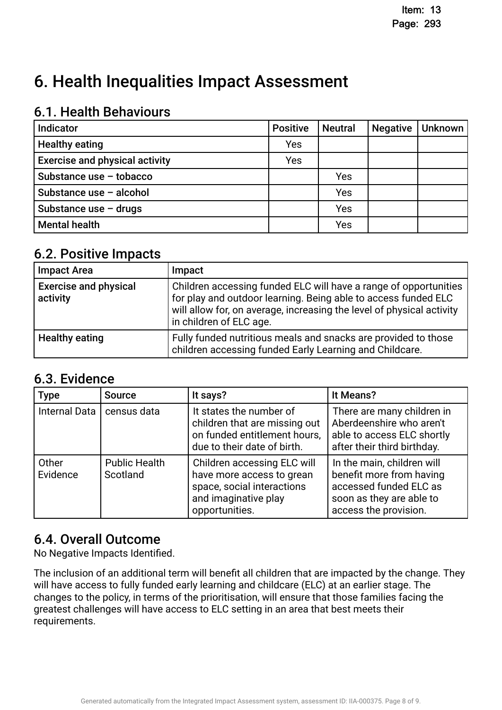# 6. Health Inequalities Impact Assessment

## 6.1. Health Behaviours

| Indicator                             | <b>Positive</b> | <b>Neutral</b> | <b>Negative</b> | <b>Unknown</b> |
|---------------------------------------|-----------------|----------------|-----------------|----------------|
| <b>Healthy eating</b>                 | Yes             |                |                 |                |
| <b>Exercise and physical activity</b> | Yes             |                |                 |                |
| Substance use - tobacco               |                 | Yes            |                 |                |
| Substance use - alcohol               |                 | Yes            |                 |                |
| Substance use $-$ drugs               |                 | Yes            |                 |                |
| <b>Mental health</b>                  |                 | Yes            |                 |                |

## 6.2. Positive Impacts.

| <b>Impact Area</b>                       | Impact                                                                                                                                                                                                                                 |
|------------------------------------------|----------------------------------------------------------------------------------------------------------------------------------------------------------------------------------------------------------------------------------------|
| <b>Exercise and physical</b><br>activity | Children accessing funded ELC will have a range of opportunities<br>for play and outdoor learning. Being able to access funded ELC<br>will allow for, on average, increasing the level of physical activity<br>in children of ELC age. |
| <b>Healthy eating</b>                    | Fully funded nutritious meals and snacks are provided to those<br>children accessing funded Early Learning and Childcare.                                                                                                              |

# 6.3. Evidence

| <b>Type</b>          | <b>Source</b>                    | It says?                                                                                                                         | It Means?                                                                                                                             |
|----------------------|----------------------------------|----------------------------------------------------------------------------------------------------------------------------------|---------------------------------------------------------------------------------------------------------------------------------------|
| <b>Internal Data</b> | census data                      | It states the number of<br>children that are missing out<br>on funded entitlement hours,<br>due to their date of birth.          | There are many children in<br>Aberdeenshire who aren't<br>able to access ELC shortly<br>after their third birthday.                   |
| Other<br>Evidence    | <b>Public Health</b><br>Scotland | Children accessing ELC will<br>have more access to grean<br>space, social interactions<br>and imaginative play<br>opportunities. | In the main, children will<br>benefit more from having<br>accessed funded ELC as<br>soon as they are able to<br>access the provision. |

# 6.4. Overall Outcome.

No Negative Impacts Identifed.

The inclusion of an additional term will beneft all children that are impacted by the change. They will have access to fully funded early learning and childcare (ELC) at an earlier stage. The changes to the policy, in terms of the prioritisation, will ensure that those families facing the greatest challenges will have access to ELC setting in an area that best meets their requirements.